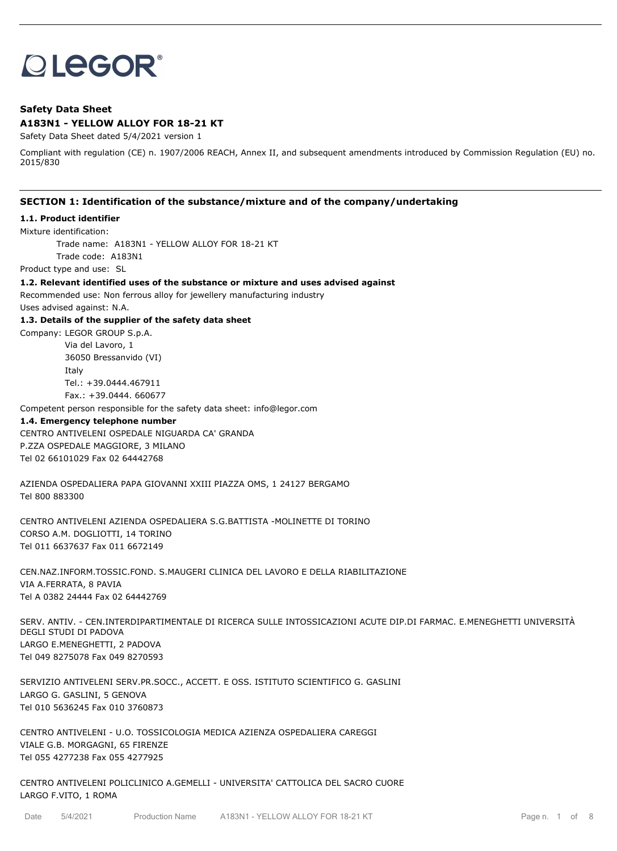# **OLEGOR®**

# **Safety Data Sheet A183N1 - YELLOW ALLOY FOR 18-21 KT**

Safety Data Sheet dated 5/4/2021 version 1

Compliant with regulation (CE) n. 1907/2006 REACH, Annex II, and subsequent amendments introduced by Commission Regulation (EU) no. 2015/830

## **SECTION 1: Identification of the substance/mixture and of the company/undertaking**

#### **1.1. Product identifier**

Mixture identification:

Trade name: A183N1 - YELLOW ALLOY FOR 18-21 KT Trade code: A183N1

Product type and use: SL

**1.2. Relevant identified uses of the substance or mixture and uses advised against**

Recommended use: Non ferrous alloy for jewellery manufacturing industry

Uses advised against: N.A.

**1.3. Details of the supplier of the safety data sheet**

Company: LEGOR GROUP S.p.A. Via del Lavoro, 1 36050 Bressanvido (VI) Italy Tel.: +39.0444.467911 Fax.: +39.0444. 660677

Competent person responsible for the safety data sheet: info@legor.com

#### **1.4. Emergency telephone number**

CENTRO ANTIVELENI OSPEDALE NIGUARDA CA' GRANDA P.ZZA OSPEDALE MAGGIORE, 3 MILANO Tel 02 66101029 Fax 02 64442768

AZIENDA OSPEDALIERA PAPA GIOVANNI XXIII PIAZZA OMS, 1 24127 BERGAMO Tel 800 883300

CENTRO ANTIVELENI AZIENDA OSPEDALIERA S.G.BATTISTA -MOLINETTE DI TORINO CORSO A.M. DOGLIOTTI, 14 TORINO Tel 011 6637637 Fax 011 6672149

CEN.NAZ.INFORM.TOSSIC.FOND. S.MAUGERI CLINICA DEL LAVORO E DELLA RIABILITAZIONE VIA A.FERRATA, 8 PAVIA Tel A 0382 24444 Fax 02 64442769

SERV. ANTIV. - CEN.INTERDIPARTIMENTALE DI RICERCA SULLE INTOSSICAZIONI ACUTE DIP.DI FARMAC. E.MENEGHETTI UNIVERSITÀ DEGLI STUDI DI PADOVA LARGO E.MENEGHETTI, 2 PADOVA Tel 049 8275078 Fax 049 8270593

SERVIZIO ANTIVELENI SERV.PR.SOCC., ACCETT. E OSS. ISTITUTO SCIENTIFICO G. GASLINI LARGO G. GASLINI, 5 GENOVA Tel 010 5636245 Fax 010 3760873

CENTRO ANTIVELENI - U.O. TOSSICOLOGIA MEDICA AZIENZA OSPEDALIERA CAREGGI VIALE G.B. MORGAGNI, 65 FIRENZE Tel 055 4277238 Fax 055 4277925

CENTRO ANTIVELENI POLICLINICO A.GEMELLI - UNIVERSITA' CATTOLICA DEL SACRO CUORE LARGO F.VITO, 1 ROMA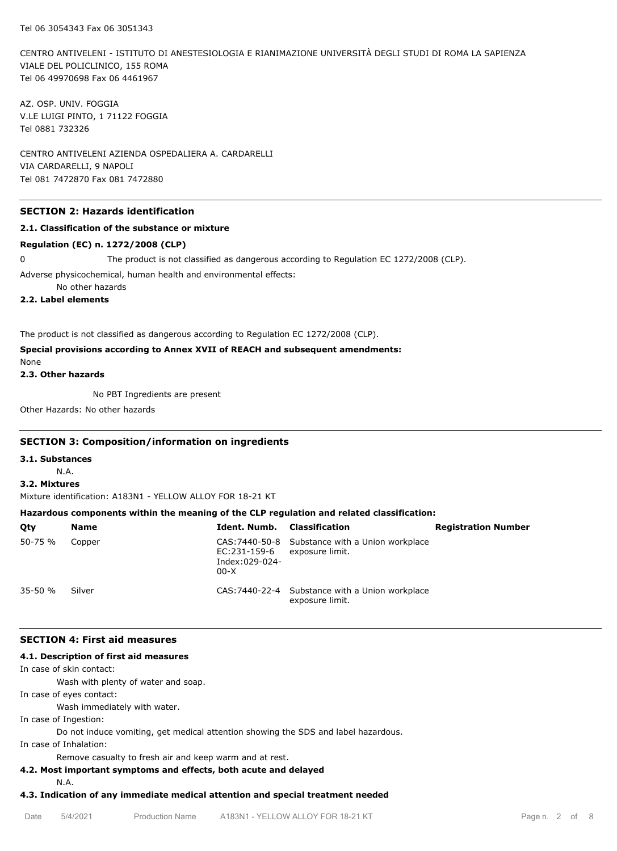CENTRO ANTIVELENI - ISTITUTO DI ANESTESIOLOGIA E RIANIMAZIONE UNIVERSITÀ DEGLI STUDI DI ROMA LA SAPIENZA VIALE DEL POLICLINICO, 155 ROMA Tel 06 49970698 Fax 06 4461967

AZ. OSP. UNIV. FOGGIA V.LE LUIGI PINTO, 1 71122 FOGGIA Tel 0881 732326

CENTRO ANTIVELENI AZIENDA OSPEDALIERA A. CARDARELLI VIA CARDARELLI, 9 NAPOLI Tel 081 7472870 Fax 081 7472880

## **SECTION 2: Hazards identification**

## **2.1. Classification of the substance or mixture**

#### **Regulation (EC) n. 1272/2008 (CLP)**

0 The product is not classified as dangerous according to Regulation EC 1272/2008 (CLP).

Adverse physicochemical, human health and environmental effects:

No other hazards

**2.2. Label elements**

The product is not classified as dangerous according to Regulation EC 1272/2008 (CLP).

# **Special provisions according to Annex XVII of REACH and subsequent amendments:**

None

**2.3. Other hazards**

No PBT Ingredients are present

Other Hazards: No other hazards

## **SECTION 3: Composition/information on ingredients**

**3.1. Substances**

N.A.

## **3.2. Mixtures**

Mixture identification: A183N1 - YELLOW ALLOY FOR 18-21 KT

# **Hazardous components within the meaning of the CLP regulation and related classification:**

| Qty         | <b>Name</b> | Ident. Numb.                             | Classification                                                     | <b>Registration Number</b> |
|-------------|-------------|------------------------------------------|--------------------------------------------------------------------|----------------------------|
| 50-75 %     | Copper      | EC:231-159-6<br>Index:029-024-<br>$00-X$ | CAS: 7440-50-8 Substance with a Union workplace<br>exposure limit. |                            |
| $35 - 50 %$ | Silver      |                                          | CAS: 7440-22-4 Substance with a Union workplace<br>exposure limit. |                            |

## **SECTION 4: First aid measures**

#### **4.1. Description of first aid measures**

In case of skin contact:

Wash with plenty of water and soap.

In case of eyes contact:

Wash immediately with water.

In case of Ingestion:

Do not induce vomiting, get medical attention showing the SDS and label hazardous.

In case of Inhalation:

Remove casualty to fresh air and keep warm and at rest.

# **4.2. Most important symptoms and effects, both acute and delayed**

N.A.

# **4.3. Indication of any immediate medical attention and special treatment needed**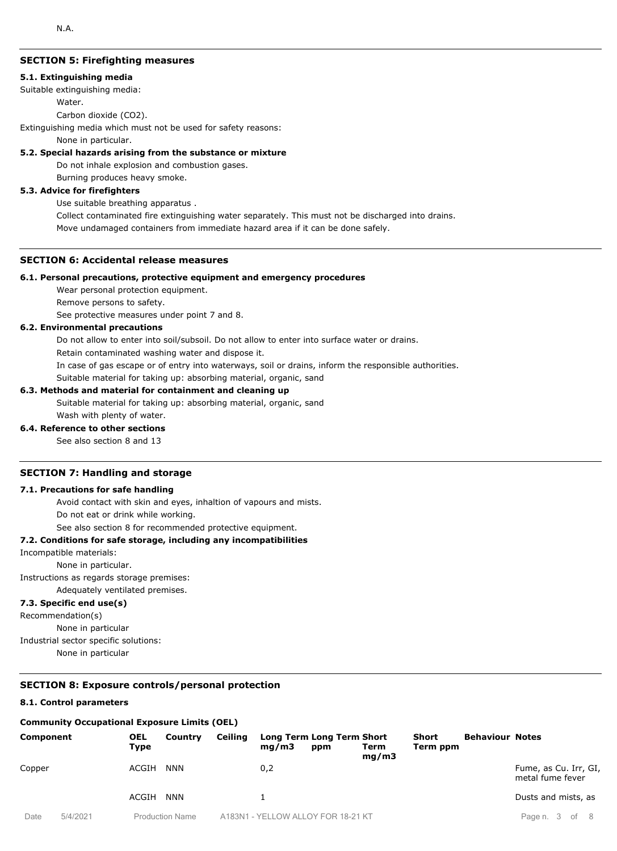# **SECTION 5: Firefighting measures**

#### **5.1. Extinguishing media**

Suitable extinguishing media:

Water.

Carbon dioxide (CO2).

Extinguishing media which must not be used for safety reasons:

None in particular.

#### **5.2. Special hazards arising from the substance or mixture**

Do not inhale explosion and combustion gases.

Burning produces heavy smoke.

#### **5.3. Advice for firefighters**

Use suitable breathing apparatus .

Collect contaminated fire extinguishing water separately. This must not be discharged into drains. Move undamaged containers from immediate hazard area if it can be done safely.

# **SECTION 6: Accidental release measures**

#### **6.1. Personal precautions, protective equipment and emergency procedures**

Wear personal protection equipment.

Remove persons to safety.

See protective measures under point 7 and 8.

## **6.2. Environmental precautions**

Do not allow to enter into soil/subsoil. Do not allow to enter into surface water or drains.

Retain contaminated washing water and dispose it.

In case of gas escape or of entry into waterways, soil or drains, inform the responsible authorities.

Suitable material for taking up: absorbing material, organic, sand

## **6.3. Methods and material for containment and cleaning up**

Suitable material for taking up: absorbing material, organic, sand Wash with plenty of water.

## **6.4. Reference to other sections**

See also section 8 and 13

## **SECTION 7: Handling and storage**

#### **7.1. Precautions for safe handling**

Avoid contact with skin and eyes, inhaltion of vapours and mists.

Do not eat or drink while working.

See also section 8 for recommended protective equipment.

## **7.2. Conditions for safe storage, including any incompatibilities**

Incompatible materials:

None in particular.

Instructions as regards storage premises:

Adequately ventilated premises.

# **7.3. Specific end use(s)**

Recommendation(s)

None in particular

Industrial sector specific solutions:

None in particular

#### **SECTION 8: Exposure controls/personal protection**

#### **8.1. Control parameters**

#### **Community Occupational Exposure Limits (OEL)**

| Component      |          | <b>OEL</b><br>Type | Country         | <b>Ceiling</b> | ma/m3 | Long Term Long Term Short<br>ppm | Term<br>mq/m3 | <b>Short</b><br>Term ppm | <b>Behaviour Notes</b> |                                           |
|----------------|----------|--------------------|-----------------|----------------|-------|----------------------------------|---------------|--------------------------|------------------------|-------------------------------------------|
| Copper         |          | ACGIH              | <b>NNN</b>      |                | 0,2   |                                  |               |                          |                        | Fume, as Cu. Irr, GI,<br>metal fume fever |
|                |          | ACGIH              | <b>NNN</b>      |                |       |                                  |               |                          |                        | Dusts and mists, as                       |
| D <sub>0</sub> | F1110011 |                    | Droduction Namo |                |       | A 193N1 VELLOMIALLOVEOD 19 21 KT |               |                          |                        | $D_{200}$ n $2$ of $9$                    |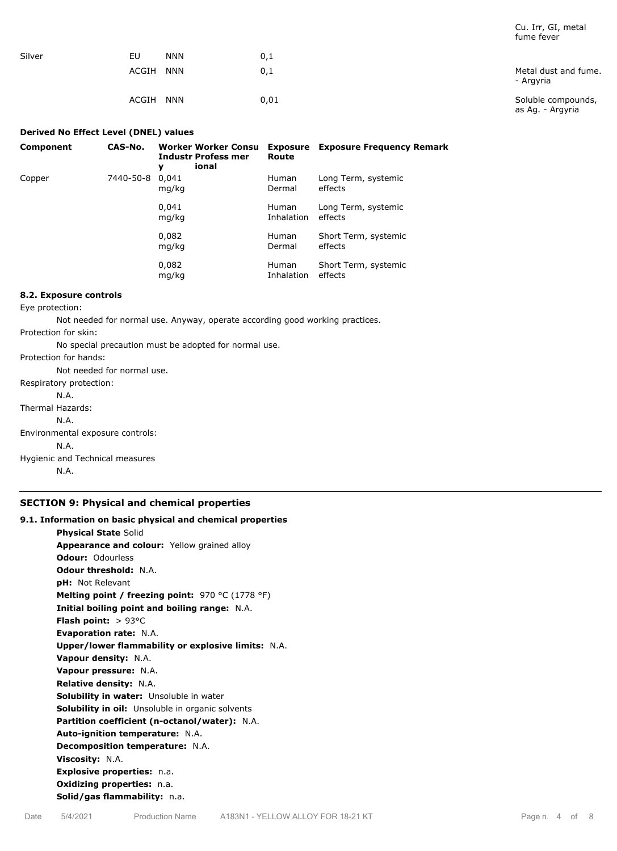|        |                     |      | Turrie Tever                           |
|--------|---------------------|------|----------------------------------------|
| Silver | EU<br><b>NNN</b>    | 0,1  |                                        |
|        | ACGIH<br><b>NNN</b> | 0,1  | Metal dust and fume.<br>- Argyria      |
|        | ACGIH<br><b>NNN</b> | 0,01 | Soluble compounds,<br>as Ag. - Argyria |

#### **Derived No Effect Level (DNEL) values**

| Component | CAS-No.   | Worker Worker Consu<br><b>Industr Profess mer</b><br>ional<br>у | Route                      | <b>Exposure</b> Exposure Frequency Remark |
|-----------|-----------|-----------------------------------------------------------------|----------------------------|-------------------------------------------|
| Copper    | 7440-50-8 | 0.041<br>mg/kg                                                  | <b>Human</b><br>Dermal     | Long Term, systemic<br>effects            |
|           |           | 0,041<br>mg/kg                                                  | <b>Human</b><br>Inhalation | Long Term, systemic<br>effects            |
|           |           | 0,082<br>mg/kg                                                  | <b>Human</b><br>Dermal     | Short Term, systemic<br>effects           |
|           |           | 0,082<br>mg/kg                                                  | <b>Human</b><br>Inhalation | Short Term, systemic<br>effects           |

## **8.2. Exposure controls**

Eye protection:

Not needed for normal use. Anyway, operate according good working practices.

Protection for skin:

No special precaution must be adopted for normal use.

Protection for hands:

Not needed for normal use. Respiratory protection: N.A. Thermal Hazards: N.A. Environmental exposure controls:

N.A. Hygienic and Technical measures N.A.

# **SECTION 9: Physical and chemical properties**

# **9.1. Information on basic physical and chemical properties Physical State** Solid **Appearance and colour:** Yellow grained alloy **Odour:** Odourless **Odour threshold:** N.A. **pH:** Not Relevant **Melting point / freezing point:** 970 °C (1778 °F) **Initial boiling point and boiling range:** N.A. **Flash point:** > 93°C **Evaporation rate:** N.A. **Upper/lower flammability or explosive limits:** N.A. **Vapour density:** N.A. **Vapour pressure:** N.A. **Relative density:** N.A. **Solubility in water:** Unsoluble in water **Solubility in oil:** Unsoluble in organic solvents **Partition coefficient (n-octanol/water):** N.A. **Auto-ignition temperature:** N.A. **Decomposition temperature:** N.A. **Viscosity:** N.A. **Explosive properties:** n.a. **Oxidizing properties:** n.a. **Solid/gas flammability:** n.a.

Cu. Irr, GI, metal fume fever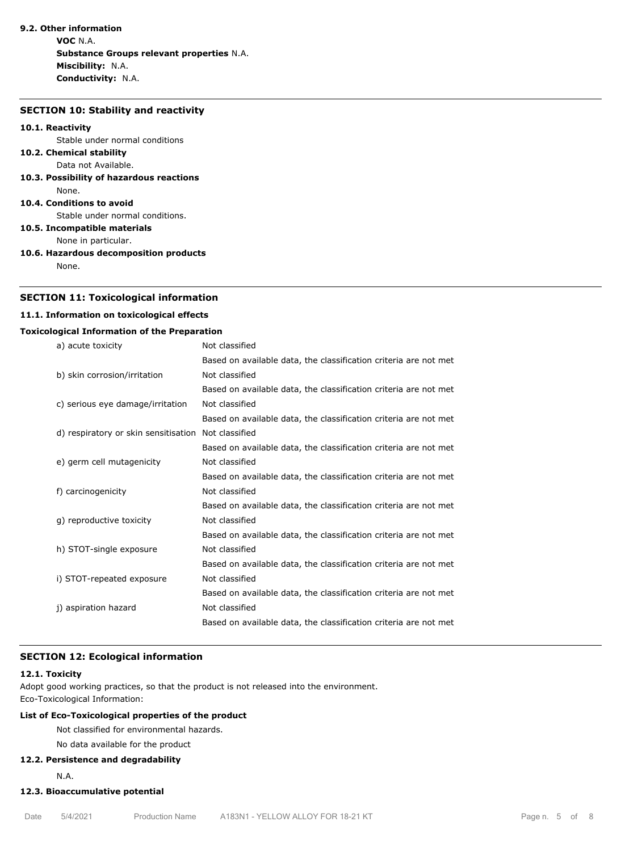# **9.2. Other information**

**VOC** N.A. **Substance Groups relevant properties** N.A. **Miscibility:** N.A. **Conductivity:** N.A.

#### **SECTION 10: Stability and reactivity**

#### **10.1. Reactivity**

Stable under normal conditions

#### **10.2. Chemical stability** Data not Available.

**10.3. Possibility of hazardous reactions** None.

#### **10.4. Conditions to avoid**

Stable under normal conditions.

**10.5. Incompatible materials**

None in particular.

**10.6. Hazardous decomposition products**

None.

## **SECTION 11: Toxicological information**

## **11.1. Information on toxicological effects**

# **Toxicological Information of the Preparation**

| a) acute toxicity                    | Not classified                                                   |
|--------------------------------------|------------------------------------------------------------------|
|                                      | Based on available data, the classification criteria are not met |
| b) skin corrosion/irritation         | Not classified                                                   |
|                                      | Based on available data, the classification criteria are not met |
| c) serious eye damage/irritation     | Not classified                                                   |
|                                      | Based on available data, the classification criteria are not met |
| d) respiratory or skin sensitisation | Not classified                                                   |
|                                      | Based on available data, the classification criteria are not met |
| e) germ cell mutagenicity            | Not classified                                                   |
|                                      | Based on available data, the classification criteria are not met |
| f) carcinogenicity                   | Not classified                                                   |
|                                      | Based on available data, the classification criteria are not met |
| g) reproductive toxicity             | Not classified                                                   |
|                                      | Based on available data, the classification criteria are not met |
| h) STOT-single exposure              | Not classified                                                   |
|                                      | Based on available data, the classification criteria are not met |
| i) STOT-repeated exposure            | Not classified                                                   |
|                                      | Based on available data, the classification criteria are not met |
| j) aspiration hazard                 | Not classified                                                   |
|                                      | Based on available data, the classification criteria are not met |

# **SECTION 12: Ecological information**

# **12.1. Toxicity**

Adopt good working practices, so that the product is not released into the environment. Eco-Toxicological Information:

# **List of Eco-Toxicological properties of the product**

Not classified for environmental hazards.

No data available for the product

# **12.2. Persistence and degradability**

N.A.

# **12.3. Bioaccumulative potential**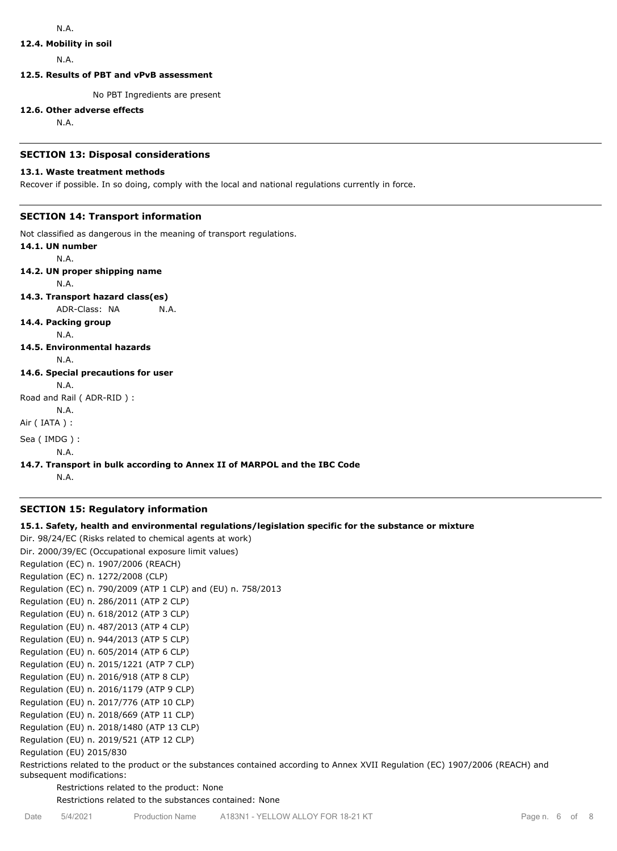## **12.4. Mobility in soil**

N.A.

**12.5. Results of PBT and vPvB assessment**

No PBT Ingredients are present

#### **12.6. Other adverse effects**

N.A.

## **SECTION 13: Disposal considerations**

## **13.1. Waste treatment methods**

Recover if possible. In so doing, comply with the local and national regulations currently in force.

# **SECTION 14: Transport information**

Not classified as dangerous in the meaning of transport regulations.

**14.1. UN number** N.A. **14.2. UN proper shipping name** N.A. **14.3. Transport hazard class(es)** ADR-Class: NA N.A. **14.4. Packing group** N.A. **14.5. Environmental hazards** N.A. **14.6. Special precautions for user** N.A. Road and Rail ( ADR-RID ) : N.A. Air ( IATA ) : Sea ( IMDG ) : N.A.

# **14.7. Transport in bulk according to Annex II of MARPOL and the IBC Code**

N.A.

# **SECTION 15: Regulatory information**

# **15.1. Safety, health and environmental regulations/legislation specific for the substance or mixture**

```
Dir. 98/24/EC (Risks related to chemical agents at work)
Dir. 2000/39/EC (Occupational exposure limit values)
Regulation (EC) n. 1907/2006 (REACH)
Regulation (EC) n. 1272/2008 (CLP)
Regulation (EC) n. 790/2009 (ATP 1 CLP) and (EU) n. 758/2013
Regulation (EU) n. 286/2011 (ATP 2 CLP)
Regulation (EU) n. 618/2012 (ATP 3 CLP)
Regulation (EU) n. 487/2013 (ATP 4 CLP)
Regulation (EU) n. 944/2013 (ATP 5 CLP)
Regulation (EU) n. 605/2014 (ATP 6 CLP)
Regulation (EU) n. 2015/1221 (ATP 7 CLP)
Regulation (EU) n. 2016/918 (ATP 8 CLP)
Regulation (EU) n. 2016/1179 (ATP 9 CLP)
Regulation (EU) n. 2017/776 (ATP 10 CLP)
Regulation (EU) n. 2018/669 (ATP 11 CLP)
Regulation (EU) n. 2018/1480 (ATP 13 CLP)
Regulation (EU) n. 2019/521 (ATP 12 CLP)
Regulation (EU) 2015/830
```
Restrictions related to the product or the substances contained according to Annex XVII Regulation (EC) 1907/2006 (REACH) and subsequent modifications:

Restrictions related to the product: None

Restrictions related to the substances contained: None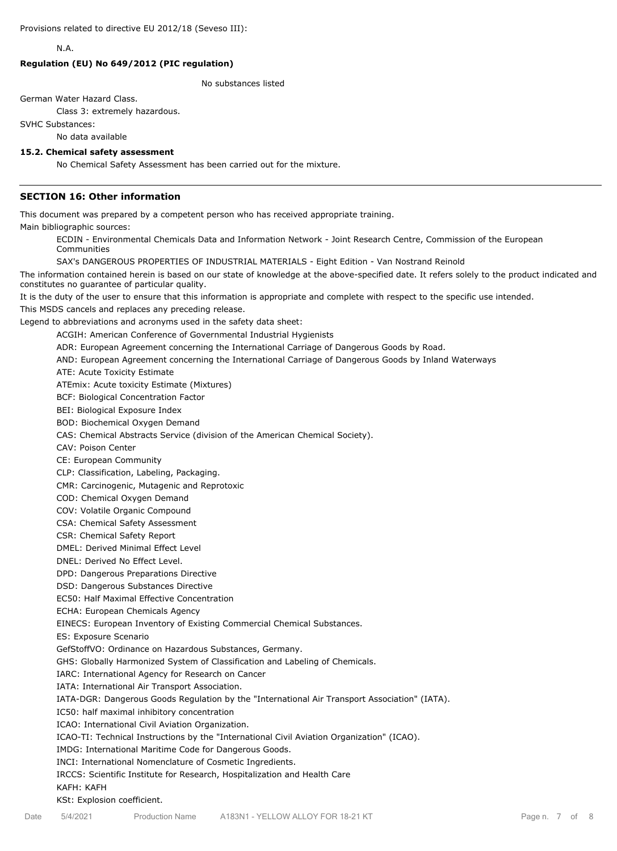N.A.

## **Regulation (EU) No 649/2012 (PIC regulation)**

No substances listed

German Water Hazard Class.

Class 3: extremely hazardous.

SVHC Substances:

No data available

#### **15.2. Chemical safety assessment**

No Chemical Safety Assessment has been carried out for the mixture.

## **SECTION 16: Other information**

This document was prepared by a competent person who has received appropriate training.

Main bibliographic sources:

ECDIN - Environmental Chemicals Data and Information Network - Joint Research Centre, Commission of the European Communities

SAX's DANGEROUS PROPERTIES OF INDUSTRIAL MATERIALS - Eight Edition - Van Nostrand Reinold

The information contained herein is based on our state of knowledge at the above-specified date. It refers solely to the product indicated and constitutes no guarantee of particular quality.

It is the duty of the user to ensure that this information is appropriate and complete with respect to the specific use intended.

This MSDS cancels and replaces any preceding release.

Legend to abbreviations and acronyms used in the safety data sheet:

ACGIH: American Conference of Governmental Industrial Hygienists

ADR: European Agreement concerning the International Carriage of Dangerous Goods by Road.

AND: European Agreement concerning the International Carriage of Dangerous Goods by Inland Waterways

ATE: Acute Toxicity Estimate

ATEmix: Acute toxicity Estimate (Mixtures)

BCF: Biological Concentration Factor

BEI: Biological Exposure Index

BOD: Biochemical Oxygen Demand

CAS: Chemical Abstracts Service (division of the American Chemical Society).

CAV: Poison Center

CE: European Community

CLP: Classification, Labeling, Packaging.

CMR: Carcinogenic, Mutagenic and Reprotoxic

COD: Chemical Oxygen Demand

COV: Volatile Organic Compound

CSA: Chemical Safety Assessment

CSR: Chemical Safety Report

DMEL: Derived Minimal Effect Level

DNEL: Derived No Effect Level.

DPD: Dangerous Preparations Directive

DSD: Dangerous Substances Directive

EC50: Half Maximal Effective Concentration

ECHA: European Chemicals Agency

EINECS: European Inventory of Existing Commercial Chemical Substances.

ES: Exposure Scenario

GefStoffVO: Ordinance on Hazardous Substances, Germany.

GHS: Globally Harmonized System of Classification and Labeling of Chemicals.

IARC: International Agency for Research on Cancer

IATA: International Air Transport Association.

IATA-DGR: Dangerous Goods Regulation by the "International Air Transport Association" (IATA).

IC50: half maximal inhibitory concentration

ICAO: International Civil Aviation Organization.

ICAO-TI: Technical Instructions by the "International Civil Aviation Organization" (ICAO).

IMDG: International Maritime Code for Dangerous Goods.

INCI: International Nomenclature of Cosmetic Ingredients.

IRCCS: Scientific Institute for Research, Hospitalization and Health Care

#### KAFH: KAFH

KSt: Explosion coefficient.